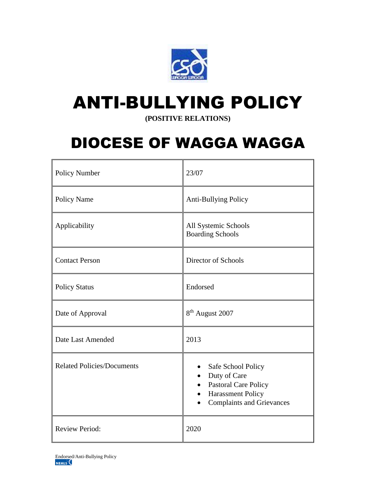

# ANTI-BULLYING POLICY

**(POSITIVE RELATIONS)**

# DIOCESE OF WAGGA WAGGA

| Policy Number                     | 23/07                                                                                                                      |
|-----------------------------------|----------------------------------------------------------------------------------------------------------------------------|
| Policy Name                       | <b>Anti-Bullying Policy</b>                                                                                                |
| Applicability                     | All Systemic Schools<br><b>Boarding Schools</b>                                                                            |
| <b>Contact Person</b>             | Director of Schools                                                                                                        |
| <b>Policy Status</b>              | Endorsed                                                                                                                   |
| Date of Approval                  | 8 <sup>th</sup> August 2007                                                                                                |
| Date Last Amended                 | 2013                                                                                                                       |
| <b>Related Policies/Documents</b> | Safe School Policy<br>Duty of Care<br><b>Pastoral Care Policy</b><br>Harassment Policy<br><b>Complaints and Grievances</b> |
| <b>Review Period:</b>             | 2020                                                                                                                       |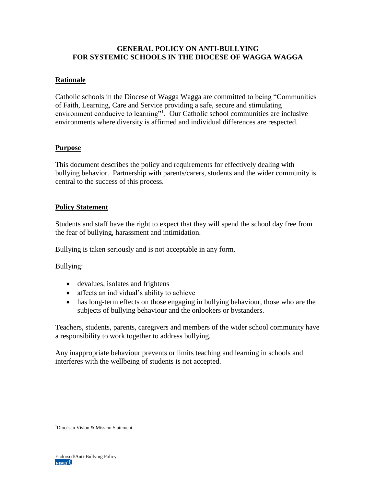## **GENERAL POLICY ON ANTI-BULLYING FOR SYSTEMIC SCHOOLS IN THE DIOCESE OF WAGGA WAGGA**

# **Rationale**

Catholic schools in the Diocese of Wagga Wagga are committed to being "Communities of Faith, Learning, Care and Service providing a safe, secure and stimulating environment conducive to learning"<sup>1</sup>. Our Catholic school communities are inclusive environments where diversity is affirmed and individual differences are respected.

#### **Purpose**

This document describes the policy and requirements for effectively dealing with bullying behavior. Partnership with parents/carers, students and the wider community is central to the success of this process.

#### **Policy Statement**

Students and staff have the right to expect that they will spend the school day free from the fear of bullying, harassment and intimidation.

Bullying is taken seriously and is not acceptable in any form.

Bullying:

- devalues, isolates and frightens
- affects an individual's ability to achieve
- has long-term effects on those engaging in bullying behaviour, those who are the subjects of bullying behaviour and the onlookers or bystanders.

Teachers, students, parents, caregivers and members of the wider school community have a responsibility to work together to address bullying.

Any inappropriate behaviour prevents or limits teaching and learning in schools and interferes with the wellbeing of students is not accepted.

1Diocesan Vision & Mission Statement